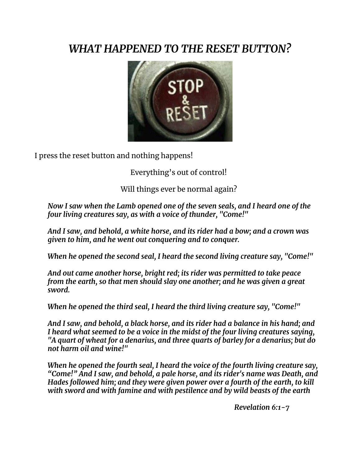## *WHAT HAPPENED TO THE RESET BUTTON?*



I press the reset button and nothing happens!

Everything's out of control!

Will things ever be normal again?

*Now I saw when the Lamb opened one of the seven seals, and I heard one of the four living creatures say, as with a voice of thunder, "Come!"*

*And I saw, and behold, a white horse, and its rider had a bow; and a crown was given to him, and he went out conquering and to conquer.*

*When he opened the second seal, I heard the second living creature say, "Come!"*

*And out came another horse, bright red; its rider was permitted to take peace from the earth, so that men should slay one another; and he was given a great sword.*

*When he opened the third seal, I heard the third living creature say, "Come!"*

*And I saw, and behold, a black horse, and its rider had a balance in his hand; and I heard what seemed to be a voice in the midst of the four living creatures saying, "A quart of wheat for a denarius, and three quarts of barley for a denarius; but do not harm oil and wine!"*

*When he opened the fourth seal, I heard the voice of the fourth living creature say, "Come!" And I saw, and behold, a pale horse, and its rider's name was Death, and Hades followed him; and they were given power over a fourth of the earth, to kill with sword and with famine and with pestilence and by wild beasts of the earth*

*Revelation 6:1-7*